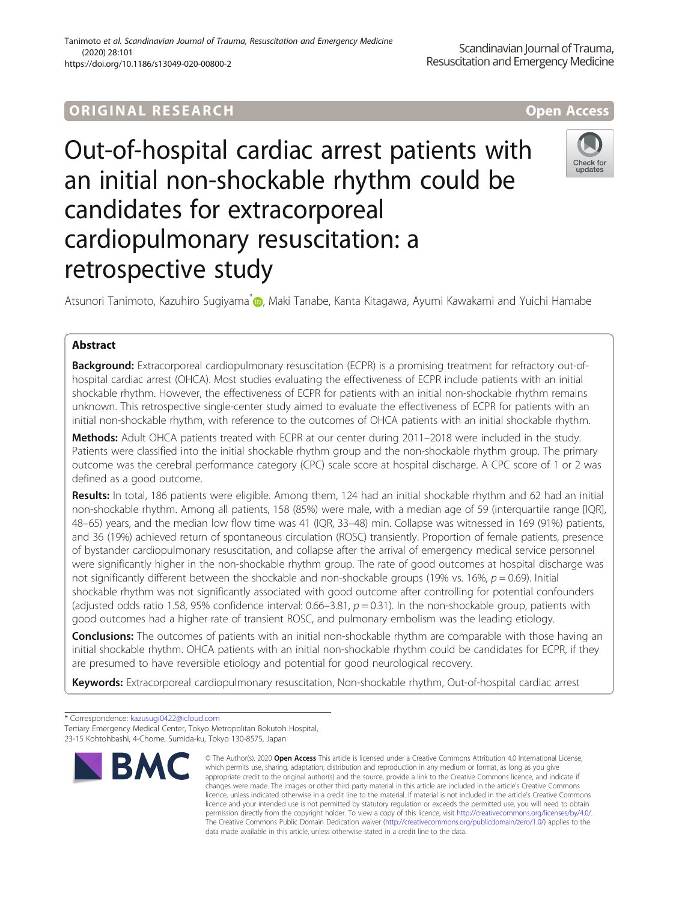# ORIGINA L R E S EA RCH Open Access

# Out-of-hospital cardiac arrest patients with an initial non-shockable rhythm could be candidates for extracorporeal cardiopulmonary resuscitation: a retrospective study

Atsunori Tanimoto[,](http://orcid.org/0000-0003-4543-3064) Kazuhiro Sugiyama<sup>\*</sup> (**p.** Maki Tanabe, Kanta Kitagawa, Ayumi Kawakami and Yuichi Hamabe

# Abstract

**Background:** Extracorporeal cardiopulmonary resuscitation (ECPR) is a promising treatment for refractory out-ofhospital cardiac arrest (OHCA). Most studies evaluating the effectiveness of ECPR include patients with an initial shockable rhythm. However, the effectiveness of ECPR for patients with an initial non-shockable rhythm remains unknown. This retrospective single-center study aimed to evaluate the effectiveness of ECPR for patients with an initial non-shockable rhythm, with reference to the outcomes of OHCA patients with an initial shockable rhythm.

Methods: Adult OHCA patients treated with ECPR at our center during 2011–2018 were included in the study. Patients were classified into the initial shockable rhythm group and the non-shockable rhythm group. The primary outcome was the cerebral performance category (CPC) scale score at hospital discharge. A CPC score of 1 or 2 was defined as a good outcome.

Results: In total, 186 patients were eligible. Among them, 124 had an initial shockable rhythm and 62 had an initial non-shockable rhythm. Among all patients, 158 (85%) were male, with a median age of 59 (interquartile range [IQR], 48–65) years, and the median low flow time was 41 (IQR, 33–48) min. Collapse was witnessed in 169 (91%) patients, and 36 (19%) achieved return of spontaneous circulation (ROSC) transiently. Proportion of female patients, presence of bystander cardiopulmonary resuscitation, and collapse after the arrival of emergency medical service personnel were significantly higher in the non-shockable rhythm group. The rate of good outcomes at hospital discharge was not significantly different between the shockable and non-shockable groups (19% vs. 16%,  $p = 0.69$ ). Initial shockable rhythm was not significantly associated with good outcome after controlling for potential confounders (adjusted odds ratio 1.58, 95% confidence interval: 0.66–3.81,  $p = 0.31$ ). In the non-shockable group, patients with good outcomes had a higher rate of transient ROSC, and pulmonary embolism was the leading etiology.

**Conclusions:** The outcomes of patients with an initial non-shockable rhythm are comparable with those having an initial shockable rhythm. OHCA patients with an initial non-shockable rhythm could be candidates for ECPR, if they are presumed to have reversible etiology and potential for good neurological recovery.

Keywords: Extracorporeal cardiopulmonary resuscitation, Non-shockable rhythm, Out-of-hospital cardiac arrest

\* Correspondence: [kazusugi0422@icloud.com](mailto:kazusugi0422@icloud.com)

Tertiary Emergency Medical Center, Tokyo Metropolitan Bokutoh Hospital, 23-15 Kohtohbashi, 4-Chome, Sumida-ku, Tokyo 130-8575, Japan



© The Author(s), 2020 **Open Access** This article is licensed under a Creative Commons Attribution 4.0 International License, which permits use, sharing, adaptation, distribution and reproduction in any medium or format, as long as you give appropriate credit to the original author(s) and the source, provide a link to the Creative Commons licence, and indicate if

Scandinavian Journal of Trauma, Resuscitation and Emergency Medicine



undates



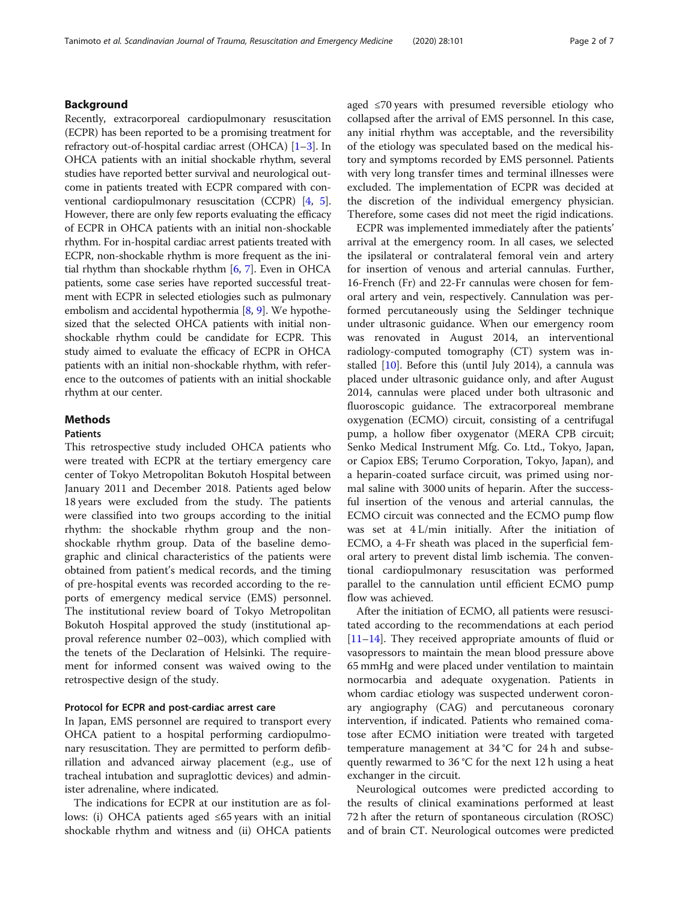# Background

Recently, extracorporeal cardiopulmonary resuscitation (ECPR) has been reported to be a promising treatment for refractory out-of-hospital cardiac arrest (OHCA) [\[1](#page-6-0)–[3\]](#page-6-0). In OHCA patients with an initial shockable rhythm, several studies have reported better survival and neurological outcome in patients treated with ECPR compared with conventional cardiopulmonary resuscitation (CCPR) [\[4,](#page-6-0) [5](#page-6-0)]. However, there are only few reports evaluating the efficacy of ECPR in OHCA patients with an initial non-shockable rhythm. For in-hospital cardiac arrest patients treated with ECPR, non-shockable rhythm is more frequent as the initial rhythm than shockable rhythm  $[6, 7]$  $[6, 7]$  $[6, 7]$  $[6, 7]$ . Even in OHCA patients, some case series have reported successful treatment with ECPR in selected etiologies such as pulmonary embolism and accidental hypothermia [\[8](#page-6-0), [9\]](#page-6-0). We hypothesized that the selected OHCA patients with initial nonshockable rhythm could be candidate for ECPR. This study aimed to evaluate the efficacy of ECPR in OHCA patients with an initial non-shockable rhythm, with reference to the outcomes of patients with an initial shockable rhythm at our center.

#### **Methods**

#### Patients

This retrospective study included OHCA patients who were treated with ECPR at the tertiary emergency care center of Tokyo Metropolitan Bokutoh Hospital between January 2011 and December 2018. Patients aged below 18 years were excluded from the study. The patients were classified into two groups according to the initial rhythm: the shockable rhythm group and the nonshockable rhythm group. Data of the baseline demographic and clinical characteristics of the patients were obtained from patient's medical records, and the timing of pre-hospital events was recorded according to the reports of emergency medical service (EMS) personnel. The institutional review board of Tokyo Metropolitan Bokutoh Hospital approved the study (institutional approval reference number 02–003), which complied with the tenets of the Declaration of Helsinki. The requirement for informed consent was waived owing to the retrospective design of the study.

# Protocol for ECPR and post-cardiac arrest care

In Japan, EMS personnel are required to transport every OHCA patient to a hospital performing cardiopulmonary resuscitation. They are permitted to perform defibrillation and advanced airway placement (e.g., use of tracheal intubation and supraglottic devices) and administer adrenaline, where indicated.

The indications for ECPR at our institution are as follows: (i) OHCA patients aged ≤65 years with an initial shockable rhythm and witness and (ii) OHCA patients aged ≤70 years with presumed reversible etiology who collapsed after the arrival of EMS personnel. In this case, any initial rhythm was acceptable, and the reversibility of the etiology was speculated based on the medical history and symptoms recorded by EMS personnel. Patients with very long transfer times and terminal illnesses were excluded. The implementation of ECPR was decided at the discretion of the individual emergency physician. Therefore, some cases did not meet the rigid indications.

ECPR was implemented immediately after the patients' arrival at the emergency room. In all cases, we selected the ipsilateral or contralateral femoral vein and artery for insertion of venous and arterial cannulas. Further, 16-French (Fr) and 22-Fr cannulas were chosen for femoral artery and vein, respectively. Cannulation was performed percutaneously using the Seldinger technique under ultrasonic guidance. When our emergency room was renovated in August 2014, an interventional radiology-computed tomography (CT) system was installed [[10\]](#page-6-0). Before this (until July 2014), a cannula was placed under ultrasonic guidance only, and after August 2014, cannulas were placed under both ultrasonic and fluoroscopic guidance. The extracorporeal membrane oxygenation (ECMO) circuit, consisting of a centrifugal pump, a hollow fiber oxygenator (MERA CPB circuit; Senko Medical Instrument Mfg. Co. Ltd., Tokyo, Japan, or Capiox EBS; Terumo Corporation, Tokyo, Japan), and a heparin-coated surface circuit, was primed using normal saline with 3000 units of heparin. After the successful insertion of the venous and arterial cannulas, the ECMO circuit was connected and the ECMO pump flow was set at 4 L/min initially. After the initiation of ECMO, a 4-Fr sheath was placed in the superficial femoral artery to prevent distal limb ischemia. The conventional cardiopulmonary resuscitation was performed parallel to the cannulation until efficient ECMO pump flow was achieved.

After the initiation of ECMO, all patients were resuscitated according to the recommendations at each period [[11](#page-6-0)–[14](#page-6-0)]. They received appropriate amounts of fluid or vasopressors to maintain the mean blood pressure above 65 mmHg and were placed under ventilation to maintain normocarbia and adequate oxygenation. Patients in whom cardiac etiology was suspected underwent coronary angiography (CAG) and percutaneous coronary intervention, if indicated. Patients who remained comatose after ECMO initiation were treated with targeted temperature management at 34 °C for 24 h and subsequently rewarmed to 36 °C for the next 12 h using a heat exchanger in the circuit.

Neurological outcomes were predicted according to the results of clinical examinations performed at least 72 h after the return of spontaneous circulation (ROSC) and of brain CT. Neurological outcomes were predicted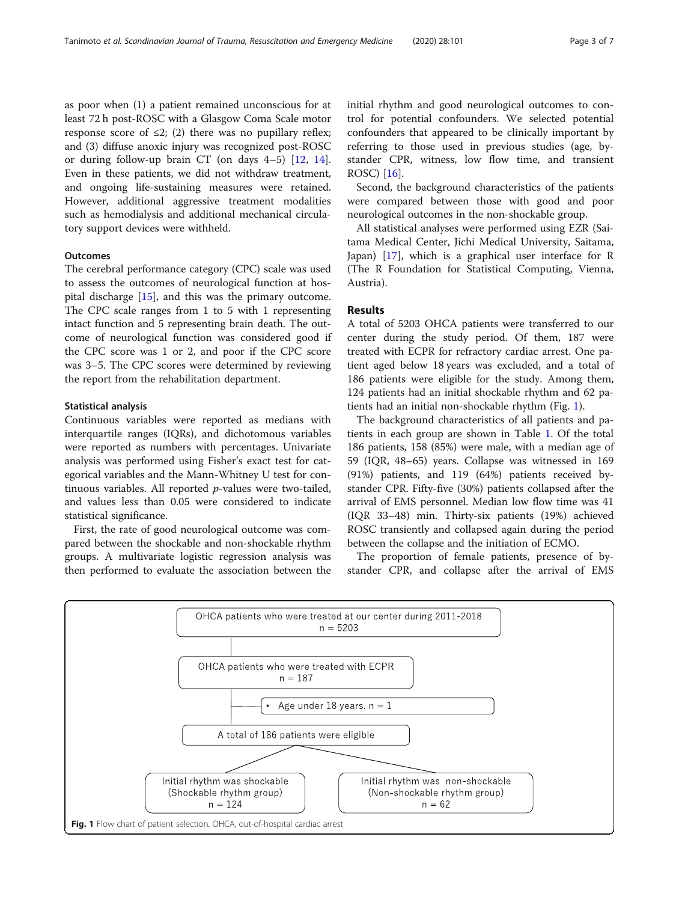as poor when (1) a patient remained unconscious for at least 72 h post-ROSC with a Glasgow Coma Scale motor response score of  $\leq$ 2; (2) there was no pupillary reflex; and (3) diffuse anoxic injury was recognized post-ROSC or during follow-up brain CT (on days 4–5) [[12](#page-6-0), [14](#page-6-0)]. Even in these patients, we did not withdraw treatment, and ongoing life-sustaining measures were retained. However, additional aggressive treatment modalities such as hemodialysis and additional mechanical circulatory support devices were withheld.

## **Outcomes**

The cerebral performance category (CPC) scale was used to assess the outcomes of neurological function at hospital discharge [\[15\]](#page-6-0), and this was the primary outcome. The CPC scale ranges from 1 to 5 with 1 representing intact function and 5 representing brain death. The outcome of neurological function was considered good if the CPC score was 1 or 2, and poor if the CPC score was 3–5. The CPC scores were determined by reviewing the report from the rehabilitation department.

## Statistical analysis

Continuous variables were reported as medians with interquartile ranges (IQRs), and dichotomous variables were reported as numbers with percentages. Univariate analysis was performed using Fisher's exact test for categorical variables and the Mann-Whitney U test for continuous variables. All reported p-values were two-tailed, and values less than 0.05 were considered to indicate statistical significance.

First, the rate of good neurological outcome was compared between the shockable and non-shockable rhythm groups. A multivariate logistic regression analysis was then performed to evaluate the association between the initial rhythm and good neurological outcomes to control for potential confounders. We selected potential confounders that appeared to be clinically important by referring to those used in previous studies (age, bystander CPR, witness, low flow time, and transient ROSC) [\[16](#page-6-0)].

Second, the background characteristics of the patients were compared between those with good and poor neurological outcomes in the non-shockable group.

All statistical analyses were performed using EZR (Saitama Medical Center, Jichi Medical University, Saitama, Japan) [[17\]](#page-6-0), which is a graphical user interface for R (The R Foundation for Statistical Computing, Vienna, Austria).

## Results

A total of 5203 OHCA patients were transferred to our center during the study period. Of them, 187 were treated with ECPR for refractory cardiac arrest. One patient aged below 18 years was excluded, and a total of 186 patients were eligible for the study. Among them, 124 patients had an initial shockable rhythm and 62 patients had an initial non-shockable rhythm (Fig. 1).

The background characteristics of all patients and patients in each group are shown in Table [1](#page-3-0). Of the total 186 patients, 158 (85%) were male, with a median age of 59 (IQR, 48–65) years. Collapse was witnessed in 169 (91%) patients, and 119 (64%) patients received bystander CPR. Fifty-five (30%) patients collapsed after the arrival of EMS personnel. Median low flow time was 41 (IQR 33–48) min. Thirty-six patients (19%) achieved ROSC transiently and collapsed again during the period between the collapse and the initiation of ECMO.

The proportion of female patients, presence of bystander CPR, and collapse after the arrival of EMS

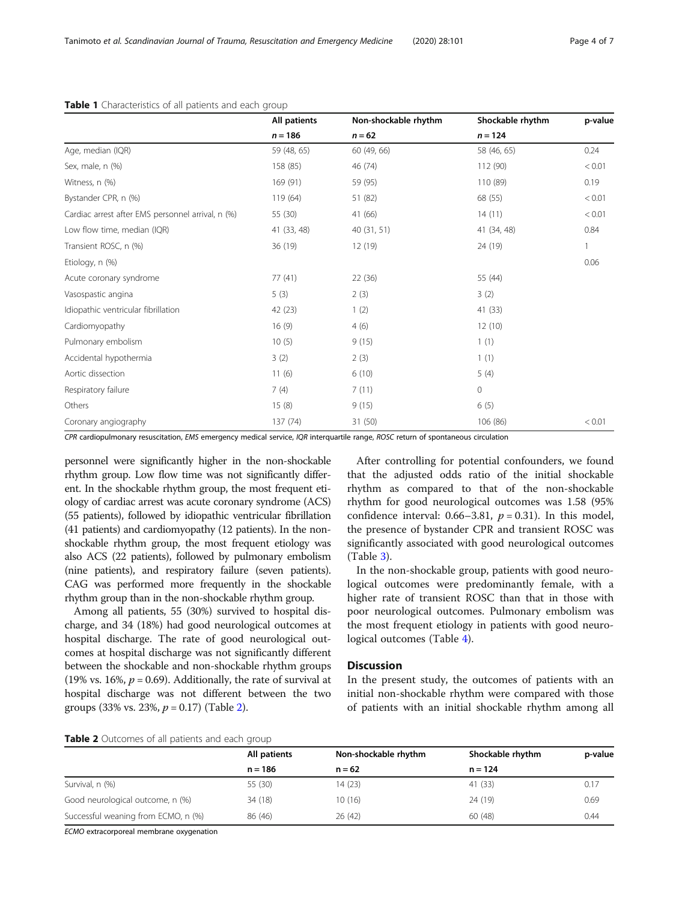|                                                   | All patients | Non-shockable rhythm | Shockable rhythm | p-value |
|---------------------------------------------------|--------------|----------------------|------------------|---------|
|                                                   | $n = 186$    | $n = 62$             | $n = 124$        |         |
| Age, median (IQR)                                 | 59 (48, 65)  | 60 (49, 66)          | 58 (46, 65)      | 0.24    |
| Sex, male, n (%)                                  | 158 (85)     | 46 (74)              | 112 (90)         | < 0.01  |
| Witness, n (%)                                    | 169 (91)     | 59 (95)              | 110 (89)         | 0.19    |
| Bystander CPR, n (%)                              | 119 (64)     | 51 (82)              | 68 (55)          | < 0.01  |
| Cardiac arrest after EMS personnel arrival, n (%) | 55 (30)      | 41 (66)              | 14(11)           | < 0.01  |
| Low flow time, median (IQR)                       | 41 (33, 48)  | 40 (31, 51)          | 41 (34, 48)      | 0.84    |
| Transient ROSC, n (%)                             | 36 (19)      | 12 (19)              | 24 (19)          |         |
| Etiology, n (%)                                   |              |                      |                  | 0.06    |
| Acute coronary syndrome                           | 77(41)       | 22 (36)              | 55 (44)          |         |
| Vasospastic angina                                | 5(3)         | 2(3)                 | 3(2)             |         |
| Idiopathic ventricular fibrillation               | 42 (23)      | 1(2)                 | 41 (33)          |         |
| Cardiomyopathy                                    | 16(9)        | 4(6)                 | 12(10)           |         |
| Pulmonary embolism                                | 10(5)        | 9(15)                | 1(1)             |         |
| Accidental hypothermia                            | 3(2)         | 2(3)                 | 1(1)             |         |
| Aortic dissection                                 | 11(6)        | 6(10)                | 5(4)             |         |
| Respiratory failure                               | 7(4)         | 7(11)                | $\mathbf 0$      |         |
| Others                                            | 15(8)        | 9(15)                | 6(5)             |         |
| Coronary angiography                              | 137 (74)     | 31 (50)              | 106 (86)         | < 0.01  |

## <span id="page-3-0"></span>Table 1 Characteristics of all patients and each group

CPR cardiopulmonary resuscitation, EMS emergency medical service, IQR interquartile range, ROSC return of spontaneous circulation

personnel were significantly higher in the non-shockable rhythm group. Low flow time was not significantly different. In the shockable rhythm group, the most frequent etiology of cardiac arrest was acute coronary syndrome (ACS) (55 patients), followed by idiopathic ventricular fibrillation (41 patients) and cardiomyopathy (12 patients). In the nonshockable rhythm group, the most frequent etiology was also ACS (22 patients), followed by pulmonary embolism (nine patients), and respiratory failure (seven patients). CAG was performed more frequently in the shockable rhythm group than in the non-shockable rhythm group.

Among all patients, 55 (30%) survived to hospital discharge, and 34 (18%) had good neurological outcomes at hospital discharge. The rate of good neurological outcomes at hospital discharge was not significantly different between the shockable and non-shockable rhythm groups (19% vs. 16%,  $p = 0.69$ ). Additionally, the rate of survival at hospital discharge was not different between the two groups (33% vs. 23%,  $p = 0.17$ ) (Table 2).

After controlling for potential confounders, we found that the adjusted odds ratio of the initial shockable rhythm as compared to that of the non-shockable rhythm for good neurological outcomes was 1.58 (95% confidence interval:  $0.66-3.81$ ,  $p = 0.31$ ). In this model, the presence of bystander CPR and transient ROSC was significantly associated with good neurological outcomes (Table [3\)](#page-4-0).

In the non-shockable group, patients with good neurological outcomes were predominantly female, with a higher rate of transient ROSC than that in those with poor neurological outcomes. Pulmonary embolism was the most frequent etiology in patients with good neurological outcomes (Table [4](#page-4-0)).

# **Discussion**

In the present study, the outcomes of patients with an initial non-shockable rhythm were compared with those of patients with an initial shockable rhythm among all

#### Table 2 Outcomes of all patients and each group

|                                     | All patients | Non-shockable rhythm | Shockable rhythm | p-value |
|-------------------------------------|--------------|----------------------|------------------|---------|
|                                     | $n = 186$    | $n = 62$             | $n = 124$        |         |
| Survival, n (%)                     | 55 (30)      | 14 (23)              | 41 (33)          | 0.17    |
| Good neurological outcome, n (%)    | 34 (18)      | 10(16)               | 24 (19)          | 0.69    |
| Successful weaning from ECMO, n (%) | 86 (46)      | 26(42)               | 60 (48)          | 0.44    |

ECMO extracorporeal membrane oxygenation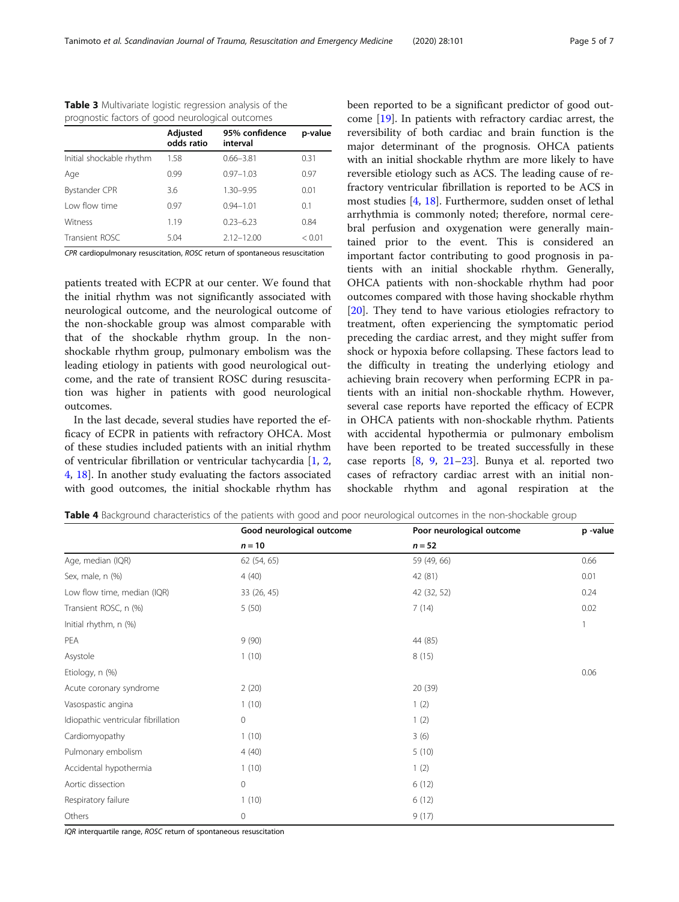|                          | Adjusted<br>odds ratio | 95% confidence<br>interval | p-value |
|--------------------------|------------------------|----------------------------|---------|
| Initial shockable rhythm | 1.58                   | $0.66 - 3.81$              | 0.31    |
| Age                      | 0.99                   | $0.97 - 1.03$              | 0.97    |
| <b>Bystander CPR</b>     | 3.6                    | $1.30 - 9.95$              | 0.01    |
| I ow flow time           | 0.97                   | $0.94 - 1.01$              | 0.1     |
| Witness                  | 1.19                   | $0.23 - 6.23$              | 0.84    |
| Transient ROSC           | 5.04                   | $2.12 - 12.00$             | < 0.01  |

<span id="page-4-0"></span>Table 3 Multivariate logistic regression analysis of the prognostic factors of good neurological outcomes

CPR cardiopulmonary resuscitation, ROSC return of spontaneous resuscitation

patients treated with ECPR at our center. We found that the initial rhythm was not significantly associated with neurological outcome, and the neurological outcome of the non-shockable group was almost comparable with that of the shockable rhythm group. In the nonshockable rhythm group, pulmonary embolism was the leading etiology in patients with good neurological outcome, and the rate of transient ROSC during resuscitation was higher in patients with good neurological outcomes.

In the last decade, several studies have reported the efficacy of ECPR in patients with refractory OHCA. Most of these studies included patients with an initial rhythm of ventricular fibrillation or ventricular tachycardia [\[1](#page-6-0), [2](#page-6-0), [4,](#page-6-0) [18\]](#page-6-0). In another study evaluating the factors associated with good outcomes, the initial shockable rhythm has been reported to be a significant predictor of good outcome [\[19](#page-6-0)]. In patients with refractory cardiac arrest, the reversibility of both cardiac and brain function is the major determinant of the prognosis. OHCA patients with an initial shockable rhythm are more likely to have reversible etiology such as ACS. The leading cause of refractory ventricular fibrillation is reported to be ACS in most studies [\[4](#page-6-0), [18](#page-6-0)]. Furthermore, sudden onset of lethal arrhythmia is commonly noted; therefore, normal cerebral perfusion and oxygenation were generally maintained prior to the event. This is considered an important factor contributing to good prognosis in patients with an initial shockable rhythm. Generally, OHCA patients with non-shockable rhythm had poor outcomes compared with those having shockable rhythm [[20\]](#page-6-0). They tend to have various etiologies refractory to treatment, often experiencing the symptomatic period preceding the cardiac arrest, and they might suffer from shock or hypoxia before collapsing. These factors lead to the difficulty in treating the underlying etiology and achieving brain recovery when performing ECPR in patients with an initial non-shockable rhythm. However, several case reports have reported the efficacy of ECPR in OHCA patients with non-shockable rhythm. Patients with accidental hypothermia or pulmonary embolism have been reported to be treated successfully in these case reports [\[8](#page-6-0), [9,](#page-6-0) [21](#page-6-0)–[23\]](#page-6-0). Bunya et al. reported two cases of refractory cardiac arrest with an initial nonshockable rhythm and agonal respiration at the

| Table 4 Background characteristics of the patients with good and poor neurological outcomes in the non-shockable group |  |  |  |  |
|------------------------------------------------------------------------------------------------------------------------|--|--|--|--|
|------------------------------------------------------------------------------------------------------------------------|--|--|--|--|

|                                     | Good neurological outcome | Poor neurological outcome | p -value |
|-------------------------------------|---------------------------|---------------------------|----------|
|                                     | $n = 10$                  | $n = 52$                  |          |
| Age, median (IQR)                   | 62 (54, 65)               | 59 (49, 66)               | 0.66     |
| Sex, male, n (%)                    | 4(40)                     | 42 (81)                   | 0.01     |
| Low flow time, median (IQR)         | 33 (26, 45)               | 42 (32, 52)               | 0.24     |
| Transient ROSC, n (%)               | 5(50)                     | 7(14)                     | 0.02     |
| Initial rhythm, n (%)               |                           |                           |          |
| PEA                                 | 9(90)                     | 44 (85)                   |          |
| Asystole                            | 1(10)                     | 8(15)                     |          |
| Etiology, n (%)                     |                           |                           | 0.06     |
| Acute coronary syndrome             | 2(20)                     | 20(39)                    |          |
| Vasospastic angina                  | 1(10)                     | 1(2)                      |          |
| Idiopathic ventricular fibrillation | 0                         | 1(2)                      |          |
| Cardiomyopathy                      | 1(10)                     | 3(6)                      |          |
| Pulmonary embolism                  | 4(40)                     | 5(10)                     |          |
| Accidental hypothermia              | 1(10)                     | 1(2)                      |          |
| Aortic dissection                   | 0                         | 6(12)                     |          |
| Respiratory failure                 | 1(10)                     | 6(12)                     |          |
| Others                              | 0                         | 9(17)                     |          |

IQR interquartile range, ROSC return of spontaneous resuscitation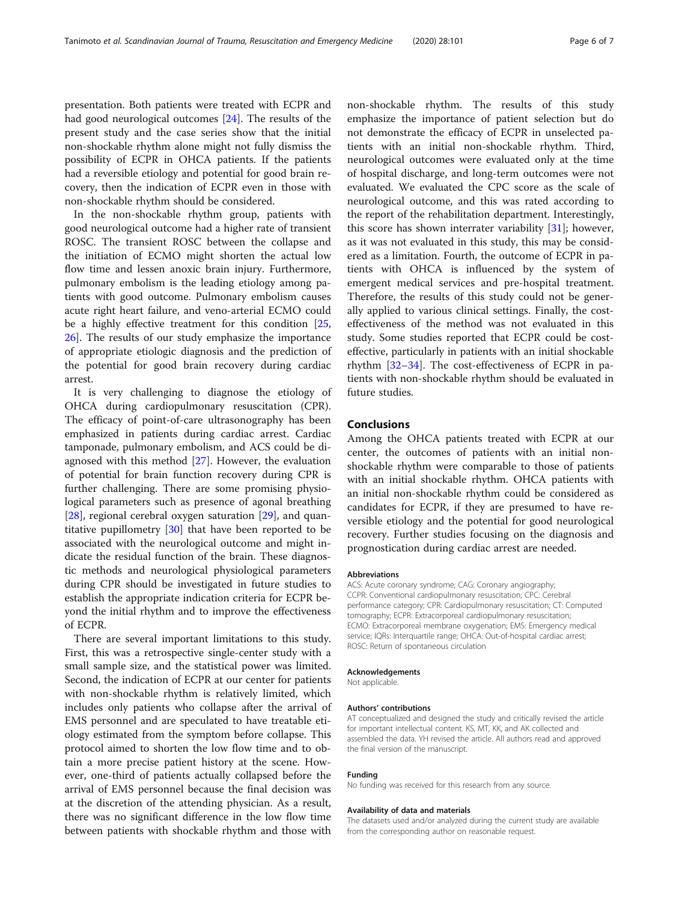presentation. Both patients were treated with ECPR and had good neurological outcomes [\[24\]](#page-6-0). The results of the present study and the case series show that the initial non-shockable rhythm alone might not fully dismiss the possibility of ECPR in OHCA patients. If the patients had a reversible etiology and potential for good brain recovery, then the indication of ECPR even in those with non-shockable rhythm should be considered.

In the non-shockable rhythm group, patients with good neurological outcome had a higher rate of transient ROSC. The transient ROSC between the collapse and the initiation of ECMO might shorten the actual low flow time and lessen anoxic brain injury. Furthermore, pulmonary embolism is the leading etiology among patients with good outcome. Pulmonary embolism causes acute right heart failure, and veno-arterial ECMO could be a highly effective treatment for this condition [[25](#page-6-0), [26\]](#page-6-0). The results of our study emphasize the importance of appropriate etiologic diagnosis and the prediction of the potential for good brain recovery during cardiac arrest.

It is very challenging to diagnose the etiology of OHCA during cardiopulmonary resuscitation (CPR). The efficacy of point-of-care ultrasonography has been emphasized in patients during cardiac arrest. Cardiac tamponade, pulmonary embolism, and ACS could be diagnosed with this method [\[27](#page-6-0)]. However, the evaluation of potential for brain function recovery during CPR is further challenging. There are some promising physiological parameters such as presence of agonal breathing [[28\]](#page-6-0), regional cerebral oxygen saturation [[29\]](#page-6-0), and quantitative pupillometry [[30\]](#page-6-0) that have been reported to be associated with the neurological outcome and might indicate the residual function of the brain. These diagnostic methods and neurological physiological parameters during CPR should be investigated in future studies to establish the appropriate indication criteria for ECPR beyond the initial rhythm and to improve the effectiveness of ECPR.

There are several important limitations to this study. First, this was a retrospective single-center study with a small sample size, and the statistical power was limited. Second, the indication of ECPR at our center for patients with non-shockable rhythm is relatively limited, which includes only patients who collapse after the arrival of EMS personnel and are speculated to have treatable etiology estimated from the symptom before collapse. This protocol aimed to shorten the low flow time and to obtain a more precise patient history at the scene. However, one-third of patients actually collapsed before the arrival of EMS personnel because the final decision was at the discretion of the attending physician. As a result, there was no significant difference in the low flow time between patients with shockable rhythm and those with non-shockable rhythm. The results of this study emphasize the importance of patient selection but do not demonstrate the efficacy of ECPR in unselected patients with an initial non-shockable rhythm. Third, neurological outcomes were evaluated only at the time of hospital discharge, and long-term outcomes were not evaluated. We evaluated the CPC score as the scale of neurological outcome, and this was rated according to the report of the rehabilitation department. Interestingly, this score has shown interrater variability [[31](#page-6-0)]; however, as it was not evaluated in this study, this may be considered as a limitation. Fourth, the outcome of ECPR in patients with OHCA is influenced by the system of emergent medical services and pre-hospital treatment. Therefore, the results of this study could not be generally applied to various clinical settings. Finally, the costeffectiveness of the method was not evaluated in this study. Some studies reported that ECPR could be costeffective, particularly in patients with an initial shockable rhythm [\[32](#page-6-0)–[34\]](#page-6-0). The cost-effectiveness of ECPR in patients with non-shockable rhythm should be evaluated in future studies.

# Conclusions

Among the OHCA patients treated with ECPR at our center, the outcomes of patients with an initial nonshockable rhythm were comparable to those of patients with an initial shockable rhythm. OHCA patients with an initial non-shockable rhythm could be considered as candidates for ECPR, if they are presumed to have reversible etiology and the potential for good neurological recovery. Further studies focusing on the diagnosis and prognostication during cardiac arrest are needed.

#### Abbreviations

ACS: Acute coronary syndrome; CAG: Coronary angiography; CCPR: Conventional cardiopulmonary resuscitation; CPC: Cerebral performance category; CPR: Cardiopulmonary resuscitation; CT: Computed tomography; ECPR: Extracorporeal cardiopulmonary resuscitation; ECMO: Extracorporeal membrane oxygenation; EMS: Emergency medical service; IQRs: Interquartile range; OHCA: Out-of-hospital cardiac arrest; ROSC: Return of spontaneous circulation

#### Acknowledgements

Not applicable.

#### Authors' contributions

AT conceptualized and designed the study and critically revised the article for important intellectual content. KS, MT, KK, and AK collected and assembled the data. YH revised the article. All authors read and approved the final version of the manuscript.

#### Funding

No funding was received for this research from any source.

#### Availability of data and materials

The datasets used and/or analyzed during the current study are available from the corresponding author on reasonable request.